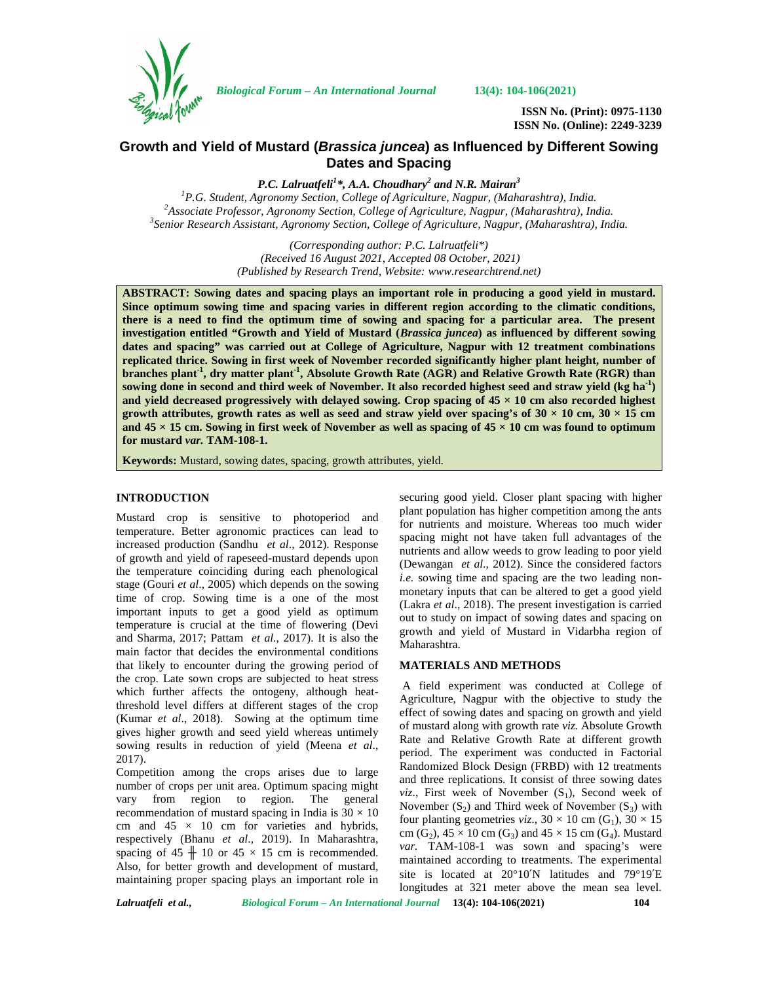

*Biological Forum – An International Journal* **13(4): 104-106(2021)**

**ISSN No. (Print): 0975-1130 ISSN No. (Online): 2249-3239**

# **Growth and Yield of Mustard (***Brassica juncea***) as Influenced by Different Sowing Dates and Spacing**

*P.C. Lalruatfeli<sup>1</sup>\*, A.A. Choudhary<sup>2</sup> and N.R. Mairan<sup>3</sup>* <sup>2</sup> Associate Professor, Agronomy Section, College of Agriculture, Nagpur, (Maharashtra), India.<br><sup>3</sup> Senior Research Assistant, Agronomy Section, College of Agriculture, Nagpur, (Maharashtra), India.

> *(Corresponding author: P.C. Lalruatfeli\*) (Received 16 August 2021, Accepted 08 October, 2021) (Published by Research Trend, Website: [www.researchtrend.net\)](www.researchtrend.net)*

**ABSTRACT: Sowing dates and spacing plays an important role in producing a good yield in mustard. Since optimum sowing time and spacing varies in different region according to the climatic conditions, there is a need to find the optimum time of sowing and spacing for a particular area. The present investigation entitled "Growth and Yield of Mustard (***Brassica juncea***) as influenced by different sowing dates and spacing" was carried out at College of Agriculture, Nagpur with 12 treatment combinations replicated thrice. Sowing in first week of November recorded significantly higher plant height, number of branches plant-1 , dry matter plant-1 , Absolute Growth Rate (AGR) and Relative Growth Rate (RGR) than sowing done in second and third week of November. It also recorded highest seed and straw yield (kg ha-1) and yield decreased progressively with delayed sowing. Crop spacing of 45 × 10 cm also recorded highest** growth attributes, growth rates as well as seed and straw yield over spacing's of  $30 \times 10$  cm,  $30 \times 15$  cm and  $45 \times 15$  cm. Sowing in first week of November as well as spacing of  $45 \times 10$  cm was found to optimum **for mustard** *var.* **TAM-108-1.**

**Keywords:** Mustard, sowing dates, spacing, growth attributes, yield.

#### **INTRODUCTION**

Mustard crop is sensitive to photoperiod and temperature. Better agronomic practices can lead to increased production (Sandhu *et al*., 2012). Response of growth and yield of rapeseed-mustard depends upon the temperature coinciding during each phenological stage (Gouri *et al*., 2005) which depends on the sowing time of crop. Sowing time is a one of the most important inputs to get a good yield as optimum temperature is crucial at the time of flowering (Devi and Sharma, 2017; Pattam *et al*., 2017). It is also the main factor that decides the environmental conditions that likely to encounter during the growing period of the crop. Late sown crops are subjected to heat stress which further affects the ontogeny, although heatthreshold level differs at different stages of the crop (Kumar *et al*., 2018). Sowing at the optimum time gives higher growth and seed yield whereas untimely sowing results in reduction of yield (Meena *et al*., 2017).

Competition among the crops arises due to large number of crops per unit area. Optimum spacing might vary from region to region. The general recommendation of mustard spacing in India is  $30 \times 10$ cm and  $45 \times 10$  cm for varieties and hybrids, respectively (Bhanu *et al*., 2019). In Maharashtra, spacing of  $45 \times 10$  or  $45 \times 15$  cm is recommended. Also, for better growth and development of mustard, maintaining proper spacing plays an important role in

securing good yield. Closer plant spacing with higher plant population has higher competition among the ants for nutrients and moisture. Whereas too much wider spacing might not have taken full advantages of the nutrients and allow weeds to grow leading to poor yield (Dewangan *et al*., 2012). Since the considered factors *i.e.* sowing time and spacing are the two leading non monetary inputs that can be altered to get a good yield (Lakra *et al*., 2018). The present investigation is carried out to study on impact of sowing dates and spacing on growth and yield of Mustard in Vidarbha region of Maharashtra.

#### **MATERIALS AND METHODS**

A field experiment was conducted at College of Agriculture, Nagpur with the objective to study the effect of sowing dates and spacing on growth and yield of mustard along with growth rate *viz.* Absolute Growth Rate and Relative Growth Rate at different growth period. The experiment was conducted in Factorial Randomized Block Design (FRBD) with 12 treatments and three replications. It consist of three sowing dates *viz.*, First week of November  $(S_1)$ , Second week of November  $(S_2)$  and Third week of November  $(S_3)$  with four planting geometries *viz*.,  $30 \times 10$  cm (G<sub>1</sub>),  $30 \times 15$ cm  $(G_2)$ ,  $45 \times 10$  cm  $(G_3)$  and  $45 \times 15$  cm  $(G_4)$ . Mustard *var.* TAM-108-1 was sown and spacing's were maintained according to treatments. The experimental site is located at 20°10′N latitudes and 79°19′E longitudes at 321 meter above the mean sea level.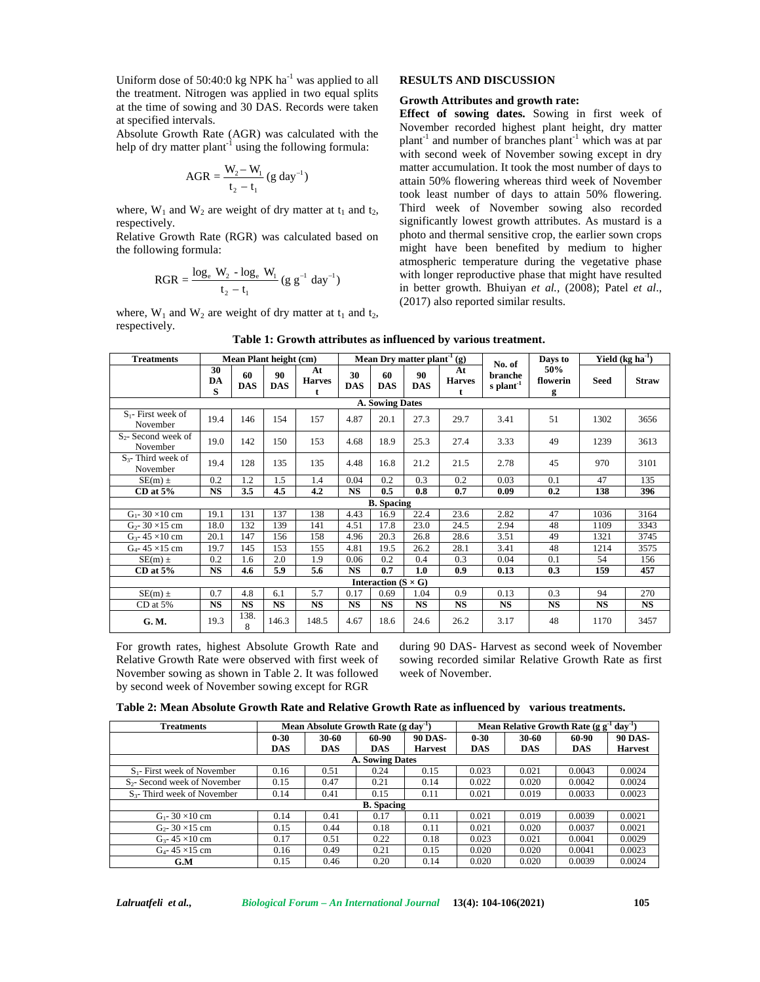Uniform dose of  $50:40:0$  kg NPK ha<sup>-1</sup> was applied to all the treatment. Nitrogen was applied in two equal splits at the time of sowing and 30 DAS. Records were taken at specified intervals. Uniform dose of 50:40:0 kg NPK ha<sup>-1</sup> was applied to all<br>the treatment. Nitrogen was applied in two equal splits<br>at the time of sowing and 30 DAS. Records were taken<br>at specified intervals.<br>Absolute Growth Rate (AGR) was to the MPK ha<sup>-1</sup> was applied to<br>was applied in two equal space was applied in two equal space of<br>the dividend of the dividend variable in the following formul<br> $\frac{N_2 - W_1}{t_2 - t_1}$  (g day<sup>-1</sup>)<br>weight of dry matter at t<sub>1</sub> 0:0 kg NPK ha<sup>-1</sup> was applied<br>
n was applied in two equal<br>
and 30 DAS. Records were<br>  $\frac{1}{t_1}$  using the following form<br>  $\frac{W_2 - W_1}{t_2 - t_1}$  (g day<sup>-1</sup>)<br>  $\frac{W_2 - W_1}{t_2 - t_1}$  weight of dry matter at t<sub>1</sub> a<br>
(RGR) was

Absolute Growth Rate (AGR) was calculated with the

$$
AGR = \frac{W_2 - W_1}{t_2 - t_1} (g \text{ day}^{-1})
$$

where,  $W_1$  and  $W_2$  are weight of dry matter at  $t_1$  and  $t_2$ , respectively.

Relative Growth Rate (RGR) was calculated based on (AGR) was calculated with<br>
<sup>1</sup> using the following formul<br>  $\frac{W_2-W_1}{t_2-t_1}$  (g day<sup>-1</sup>)<br>
weight of dry matter at t<sub>1</sub> and<br>
(RGR) was calculated based<br>  $\frac{Q_2 - \log_e W_1}{2-t_1}$  (g g<sup>-1</sup> day<sup>-1</sup>)<br>
weight of dry matter at t<sub></sub>

$$
RGR = \frac{\log_e W_2 - \log_e W_1}{t_2 - t_1} (g g^{-1} day^{-1})
$$

where,  $W_1$  and  $W_2$  are weight of dry matter at  $t_1$  and  $t_2$ , respectively.

### **RESULTS AND DISCUSSION**

#### **Growth Attributes and growth rate:**

of 50:40:0 kg NPK ha<sup>-1</sup> was applied to all<br>
Nitrogen was applied in two equal splits<br>
Nitrogen was applied in two equal splits<br>
cowing and 30 DAS. Records were taken<br>
errvals.<br>
<br>
ervals.<br>
the Rate (AGR) was calculated wi at the time of sowing and 30 DAS. Records were taken<br>
at specified intervals.<br>
Absolute Growth Rate (AGR) was calculated with the<br>
help of dry matter plant<sup>1</sup> using the following formula:<br>
AGR =  $\frac{W_2 - W_1}{t_2 - t_1}$  (g d dose of 50:40:0 kg NPK ha<sup>-1</sup> was applied to all<br>ment. Nitrogen was applied in two equal splits<br>ment of sowing and 30 DAS. Records were taken<br>methanic **Effect** of sowing datas. Sowing in first we<br>ice intervals.<br>Free to se **Effect of sowing dates.** Sowing in first week of November recorded highest plant height, dry matter plant<sup>-1</sup> and number of branches plant<sup>-1</sup> which was at par with second week of November sowing except in dry matter accumulation. It took the most number of days to attain 50% flowering whereas third week of November took least number of days to attain 50% flowering. Third week of November sowing also recorded significantly lowest growth attributes. As mustard is a photo and thermal sensitive crop, the earlier sown crops might have been benefited by medium to higher atmospheric temperature during the vegetative phase with longer reproductive phase that might have resulted in better growth. Bhuiyan *et al.,* (2008); Patel *et al*., (2017) also reported similar results.

| <b>Treatments</b>                    | Mean Plant height (cm) |                  |                  |                     | Mean Dry matter plant <sup>-1</sup> (g) |                  |                  |                     | No. of                 | Days to              | Yield $(kg ha-1)$ |              |
|--------------------------------------|------------------------|------------------|------------------|---------------------|-----------------------------------------|------------------|------------------|---------------------|------------------------|----------------------|-------------------|--------------|
|                                      | 30<br>DA<br>S          | 60<br><b>DAS</b> | 90<br><b>DAS</b> | At<br><b>Harves</b> | 30<br><b>DAS</b>                        | 60<br><b>DAS</b> | 90<br><b>DAS</b> | At<br><b>Harves</b> | branche<br>s plant $1$ | 50%<br>flowerin<br>g | Seed              | <b>Straw</b> |
| <b>A. Sowing Dates</b>               |                        |                  |                  |                     |                                         |                  |                  |                     |                        |                      |                   |              |
| $S_1$ - First week of<br>November    | 19.4                   | 146              | 154              | 157                 | 4.87                                    | 20.1             | 27.3             | 29.7                | 3.41                   | 51                   | 1302              | 3656         |
| $S_{2}$ - Second week of<br>November | 19.0                   | 142              | 150              | 153                 | 4.68                                    | 18.9             | 25.3             | 27.4                | 3.33                   | 49                   | 1239              | 3613         |
| $S3$ - Third week of<br>November     | 19.4                   | 128              | 135              | 135                 | 4.48                                    | 16.8             | 21.2             | 21.5                | 2.78                   | 45                   | 970               | 3101         |
| $SE(m) \pm$                          | 0.2                    | 1.2              | 1.5              | 1.4                 | 0.04                                    | 0.2              | 0.3              | 0.2                 | 0.03                   | 0.1                  | 47                | 135          |
| $CD$ at $5\%$                        | <b>NS</b>              | 3.5              | 4.5              | 4.2                 | <b>NS</b>                               | 0.5              | 0.8              | 0.7                 | 0.09                   | 0.2                  | 138               | 396          |
| <b>B.</b> Spacing                    |                        |                  |                  |                     |                                         |                  |                  |                     |                        |                      |                   |              |
| $G_1 - 30 \times 10$ cm              | 19.1                   | 131              | 137              | 138                 | 4.43                                    | 16.9             | 22.4             | 23.6                | 2.82                   | 47                   | 1036              | 3164         |
| $G_{2} - 30 \times 15$ cm            | 18.0                   | 132              | 139              | 141                 | 4.51                                    | 17.8             | 23.0             | 24.5                | 2.94                   | 48                   | 1109              | 3343         |
| $G_3$ - 45 × 10 cm                   | 20.1                   | 147              | 156              | 158                 | 4.96                                    | 20.3             | 26.8             | 28.6                | 3.51                   | 49                   | 1321              | 3745         |
| $G_4 - 45 \times 15$ cm              | 19.7                   | 145              | 153              | 155                 | 4.81                                    | 19.5             | 26.2             | 28.1                | 3.41                   | 48                   | 1214              | 3575         |
| $SE(m)$ ±                            | 0.2                    | 1.6              | 2.0              | 1.9                 | 0.06                                    | 0.2              | 0.4              | 0.3                 | 0.04                   | 0.1                  | 54                | 156          |
| CD at $5%$                           | <b>NS</b>              | 4.6              | 5.9              | 5.6                 | <b>NS</b>                               | 0.7              | 1.0              | 0.9                 | 0.13                   | 0.3                  | 159               | 457          |
| Interaction ( $S \times G$ )         |                        |                  |                  |                     |                                         |                  |                  |                     |                        |                      |                   |              |
| $SE(m)$ ±                            | 0.7                    | 4.8              | 6.1              | 5.7                 | 0.17                                    | 0.69             | 1.04             | 0.9                 | 0.13                   | 0.3                  | 94                | 270          |
| CD at 5%                             | <b>NS</b>              | <b>NS</b>        | <b>NS</b>        | <b>NS</b>           | <b>NS</b>                               | <b>NS</b>        | <b>NS</b>        | <b>NS</b>           | <b>NS</b>              | <b>NS</b>            | <b>NS</b>         | <b>NS</b>    |
| G. M.                                | 19.3                   | 138.<br>8        | 146.3            | 148.5               | 4.67                                    | 18.6             | 24.6             | 26.2                | 3.17                   | 48                   | 1170              | 3457         |

For growth rates, highest Absolute Growth Rate and Relative Growth Rate were observed with first week of November sowing as shown in Table 2. It was followed by second week of November sowing except for RGR

during 90 DAS- Harvest as second week of November sowing recorded similar Relative Growth Rate as first week of November.

| Table 2: Mean Absolute Growth Rate and Relative Growth Rate as influenced by various treatments. |  |  |
|--------------------------------------------------------------------------------------------------|--|--|
|--------------------------------------------------------------------------------------------------|--|--|

| <b>Treatments</b>               |            | Mean Absolute Growth Rate (g day <sup>-1)</sup> |            |                | Mean Relative Growth Rate (g $g^{-1}$ day <sup>-1</sup> |            |            |                |  |  |
|---------------------------------|------------|-------------------------------------------------|------------|----------------|---------------------------------------------------------|------------|------------|----------------|--|--|
|                                 | $0 - 30$   | 30-60                                           | 60-90      | <b>90 DAS-</b> | $0 - 30$                                                | 30-60      | 60-90      | <b>90 DAS-</b> |  |  |
|                                 | <b>DAS</b> | <b>DAS</b>                                      | <b>DAS</b> | <b>Harvest</b> | DAS                                                     | <b>DAS</b> | <b>DAS</b> | <b>Harvest</b> |  |  |
| <b>A. Sowing Dates</b>          |            |                                                 |            |                |                                                         |            |            |                |  |  |
| $S_1$ - First week of November  | 0.16       | 0.51                                            | 0.24       | 0.15           | 0.023                                                   | 0.021      | 0.0043     | 0.0024         |  |  |
| $S_2$ - Second week of November | 0.15       | 0.47                                            | 0.21       | 0.14           | 0.022                                                   | 0.020      | 0.0042     | 0.0024         |  |  |
| $S_3$ - Third week of November  | 0.14       | 0.41                                            | 0.15       | 0.11           | 0.021                                                   | 0.019      | 0.0033     | 0.0023         |  |  |
| <b>B.</b> Spacing               |            |                                                 |            |                |                                                         |            |            |                |  |  |
| $G_1 - 30 \times 10$ cm         | 0.14       | 0.41                                            | 0.17       | 0.11           | 0.021                                                   | 0.019      | 0.0039     | 0.0021         |  |  |
| $G_2 - 30 \times 15$ cm         | 0.15       | 0.44                                            | 0.18       | 0.11           | 0.021                                                   | 0.020      | 0.0037     | 0.0021         |  |  |
| $G_{3}$ - 45 × 10 cm            | 0.17       | 0.51                                            | 0.22       | 0.18           | 0.023                                                   | 0.021      | 0.0041     | 0.0029         |  |  |
| $G_4$ - 45 × 15 cm              | 0.16       | 0.49                                            | 0.21       | 0.15           | 0.020                                                   | 0.020      | 0.0041     | 0.0023         |  |  |
| G.M                             | 0.15       | 0.46                                            | 0.20       | 0.14           | 0.020                                                   | 0.020      | 0.0039     | 0.0024         |  |  |